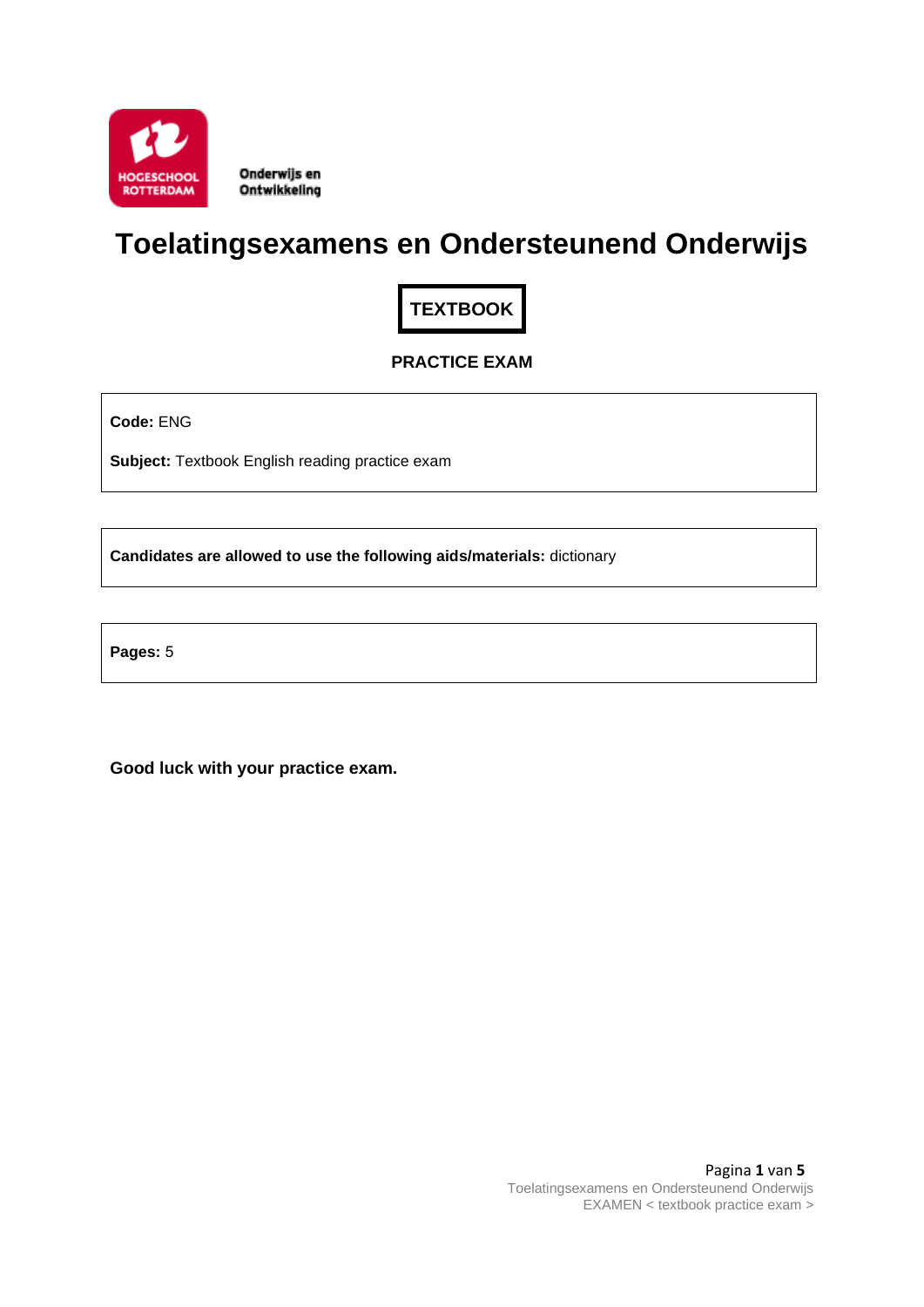

Onderwijs en Ontwikkeling

# **Toelatingsexamens en Ondersteunend Onderwijs**

**TEXTBOOK**

# **PRACTICE EXAM**

**Code:** ENG

**Subject:** Textbook English reading practice exam

**Candidates are allowed to use the following aids/materials:** dictionary

**Pages:** 5

**Good luck with your practice exam.**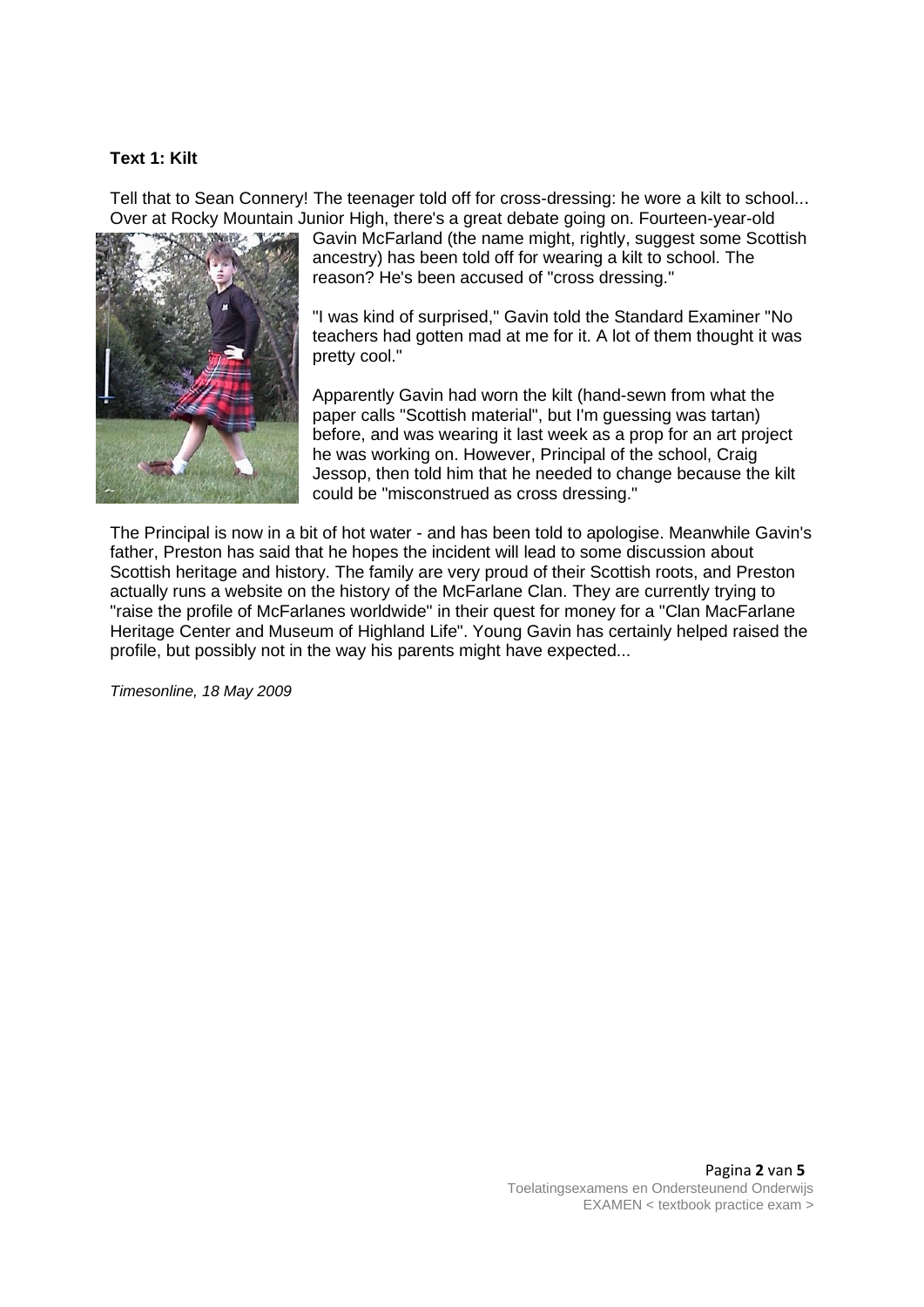#### **Text 1: Kilt**

Tell that to Sean Connery! The teenager told off for cross-dressing: he wore a kilt to school... Over at Rocky Mountain Junior High, there's a great debate going on. Fourteen-year-old



Gavin McFarland (the name might, rightly, suggest some Scottish ancestry) has been told off for wearing a kilt to school. The reason? He's been accused of "cross dressing."

"I was kind of surprised," Gavin told the Standard Examiner "No teachers had gotten mad at me for it. A lot of them thought it was pretty cool."

Apparently Gavin had worn the kilt (hand-sewn from what the paper calls "Scottish material", but I'm guessing was tartan) before, and was wearing it last week as a prop for an art project he was working on. However, Principal of the school, Craig Jessop, then told him that he needed to change because the kilt could be "misconstrued as cross dressing."

The Principal is now in a bit of hot water - and has been told to apologise. Meanwhile Gavin's father, Preston has said that he hopes the incident will lead to some discussion about Scottish heritage and history. The family are very proud of their Scottish roots, and Preston actually runs a website on the history of the McFarlane Clan. They are currently trying to "raise the profile of McFarlanes worldwide" in their quest for money for a "Clan MacFarlane Heritage Center and Museum of Highland Life". Young Gavin has certainly helped raised the profile, but possibly not in the way his parents might have expected...

*Timesonline, 18 May 2009*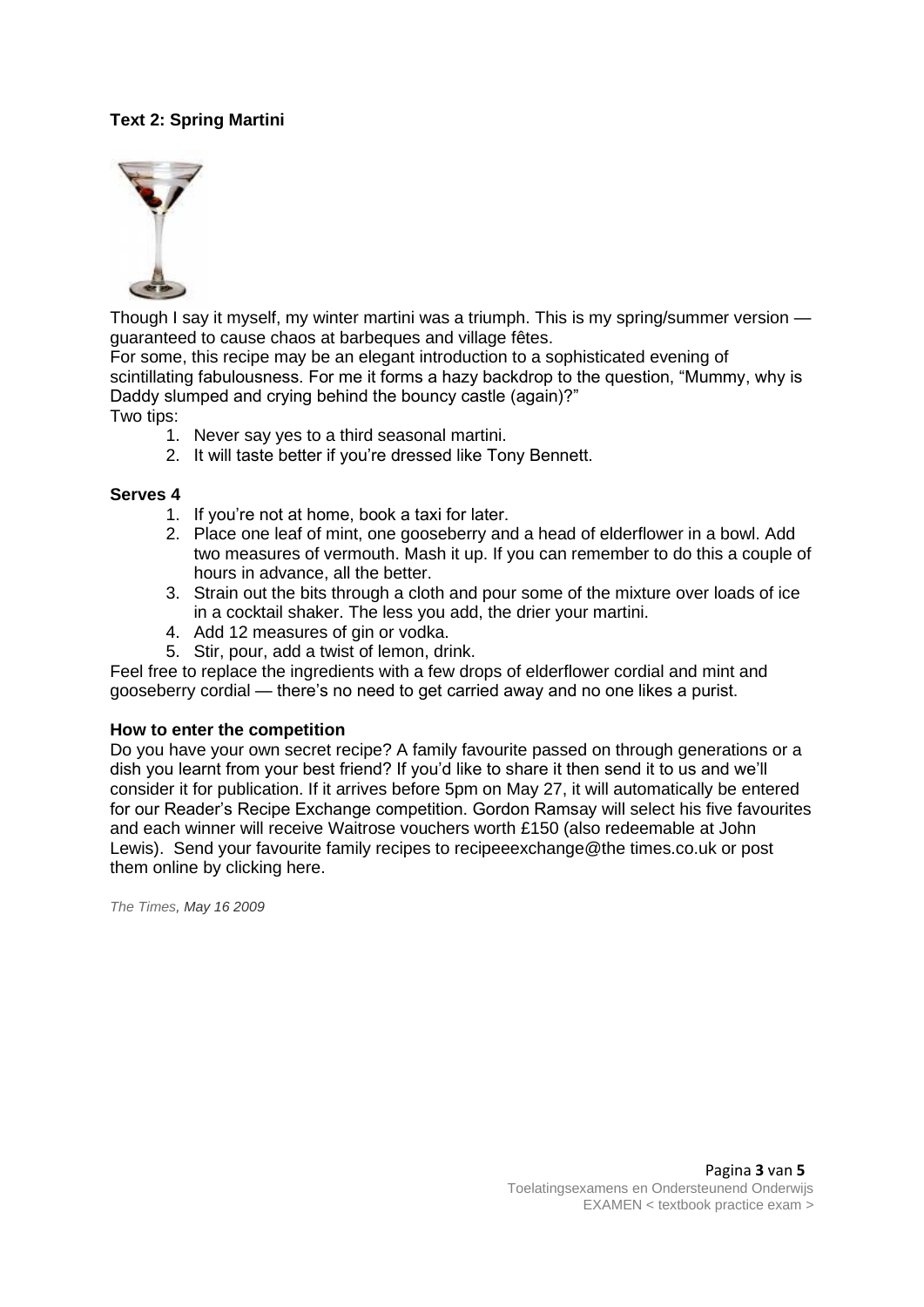# **Text 2: Spring Martini**



Though I say it myself, my winter martini was a triumph. This is my spring/summer version guaranteed to cause chaos at barbeques and village fêtes.

For some, this recipe may be an elegant introduction to a sophisticated evening of scintillating fabulousness. For me it forms a hazy backdrop to the question, "Mummy, why is Daddy slumped and crying behind the bouncy castle (again)?" Two tips:

- 1. Never say yes to a third seasonal martini.
- 2. It will taste better if you're dressed like Tony Bennett.

#### **Serves 4**

- 1. If you're not at home, book a taxi for later.
- 2. Place one leaf of mint, one gooseberry and a head of elderflower in a bowl. Add two measures of vermouth. Mash it up. If you can remember to do this a couple of hours in advance, all the better.
- 3. Strain out the bits through a cloth and pour some of the mixture over loads of ice in a cocktail shaker. The less you add, the drier your martini.
- 4. Add 12 measures of gin or vodka.
- 5. Stir, pour, add a twist of lemon, drink.

Feel free to replace the ingredients with a few drops of elderflower cordial and mint and gooseberry cordial — there's no need to get carried away and no one likes a purist.

#### **How to enter the competition**

Do you have your own secret recipe? A family favourite passed on through generations or a dish you learnt from your best friend? If you'd like to share it then send it to us and we'll consider it for publication. If it arrives before 5pm on May 27, it will automatically be entered for our Reader's Recipe Exchange competition. Gordon Ramsay will select his five favourites and each winner will receive Waitrose vouchers worth £150 (also redeemable at John Lewis). Send your favourite family recipes to recipeeexchange@the times.co.uk or post them online by clicking here.

*The Times, May 16 2009*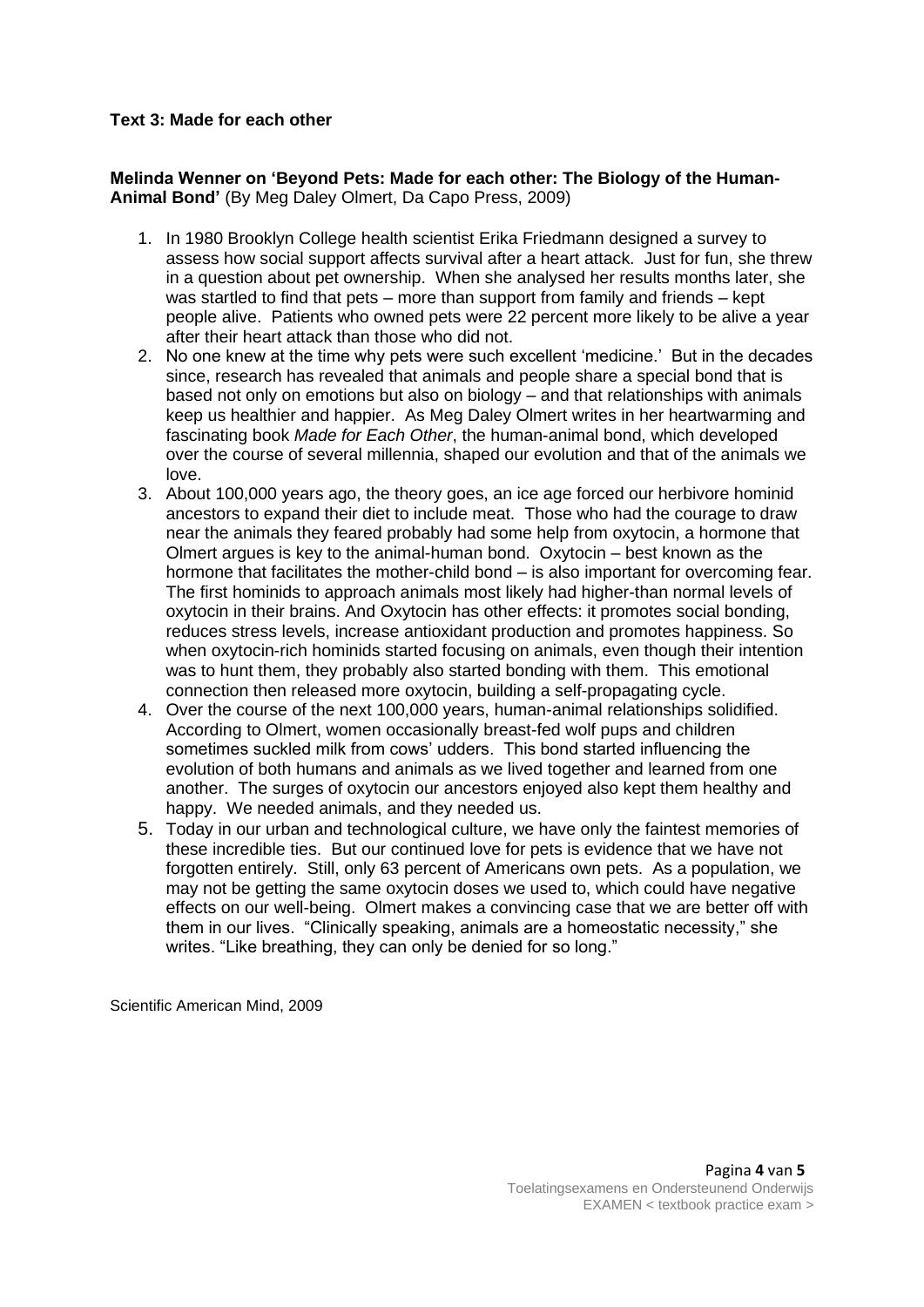### **Text 3: Made for each other**

**Melinda Wenner on 'Beyond Pets: Made for each other: The Biology of the Human-Animal Bond'** (By Meg Daley Olmert, Da Capo Press, 2009)

- 1. In 1980 Brooklyn College health scientist Erika Friedmann designed a survey to assess how social support affects survival after a heart attack. Just for fun, she threw in a question about pet ownership. When she analysed her results months later, she was startled to find that pets – more than support from family and friends – kept people alive. Patients who owned pets were 22 percent more likely to be alive a year after their heart attack than those who did not.
- 2. No one knew at the time why pets were such excellent 'medicine.' But in the decades since, research has revealed that animals and people share a special bond that is based not only on emotions but also on biology – and that relationships with animals keep us healthier and happier. As Meg Daley Olmert writes in her heartwarming and fascinating book *Made for Each Other*, the human-animal bond, which developed over the course of several millennia, shaped our evolution and that of the animals we love.
- 3. About 100,000 years ago, the theory goes, an ice age forced our herbivore hominid ancestors to expand their diet to include meat. Those who had the courage to draw near the animals they feared probably had some help from oxytocin, a hormone that Olmert argues is key to the animal-human bond. Oxytocin – best known as the hormone that facilitates the mother-child bond – is also important for overcoming fear. The first hominids to approach animals most likely had higher-than normal levels of oxytocin in their brains. And Oxytocin has other effects: it promotes social bonding, reduces stress levels, increase antioxidant production and promotes happiness. So when oxytocin-rich hominids started focusing on animals, even though their intention was to hunt them, they probably also started bonding with them. This emotional connection then released more oxytocin, building a self-propagating cycle.
- 4. Over the course of the next 100,000 years, human-animal relationships solidified. According to Olmert, women occasionally breast-fed wolf pups and children sometimes suckled milk from cows' udders. This bond started influencing the evolution of both humans and animals as we lived together and learned from one another. The surges of oxytocin our ancestors enjoyed also kept them healthy and happy. We needed animals, and they needed us.
- 5. Today in our urban and technological culture, we have only the faintest memories of these incredible ties. But our continued love for pets is evidence that we have not forgotten entirely. Still, only 63 percent of Americans own pets. As a population, we may not be getting the same oxytocin doses we used to, which could have negative effects on our well-being. Olmert makes a convincing case that we are better off with them in our lives. "Clinically speaking, animals are a homeostatic necessity," she writes. "Like breathing, they can only be denied for so long."

Scientific American Mind, 2009